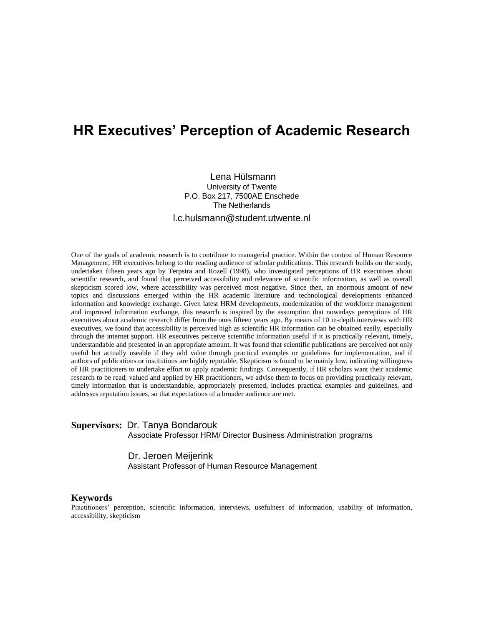# **HR Executives' Perception of Academic Research**

Lena Hülsmann University of Twente P.O. Box 217, 7500AE Enschede The Netherlands l.c.hulsmann@student.utwente.nl

One of the goals of academic research is to contribute to managerial practice. Within the context of Human Resource Management, HR executives belong to the reading audience of scholar publications. This research builds on the study, undertaken fifteen years ago by Terpstra and Rozell (1998), who investigated perceptions of HR executives about scientific research, and found that perceived accessibility and relevance of scientific information, as well as overall skepticism scored low, where accessibility was perceived most negative. Since then, an enormous amount of new topics and discussions emerged within the HR academic literature and technological developments enhanced information and knowledge exchange. Given latest HRM developments, modernization of the workforce management and improved information exchange, this research is inspired by the assumption that nowadays perceptions of HR executives about academic research differ from the ones fifteen years ago. By means of 10 in-depth interviews with HR executives, we found that accessibility is perceived high as scientific HR information can be obtained easily, especially through the internet support. HR executives perceive scientific information useful if it is practically relevant, timely, understandable and presented in an appropriate amount. It was found that scientific publications are perceived not only useful but actually useable if they add value through practical examples or guidelines for implementation, and if authors of publications or institutions are highly reputable. Skepticism is found to be mainly low, indicating willingness of HR practitioners to undertake effort to apply academic findings. Consequently, if HR scholars want their academic research to be read, valued and applied by HR practitioners, we advise them to focus on providing practically relevant, timely information that is understandable, appropriately presented, includes practical examples and guidelines, and addresses reputation issues, so that expectations of a broader audience are met.

## **Supervisors:** Dr. Tanya Bondarouk

Associate Professor HRM/ Director Business Administration programs

### Dr. Jeroen Meijerink Assistant Professor of Human Resource Management

### **Keywords**

Practitioners' perception, scientific information, interviews, usefulness of information, usability of information, accessibility, skepticism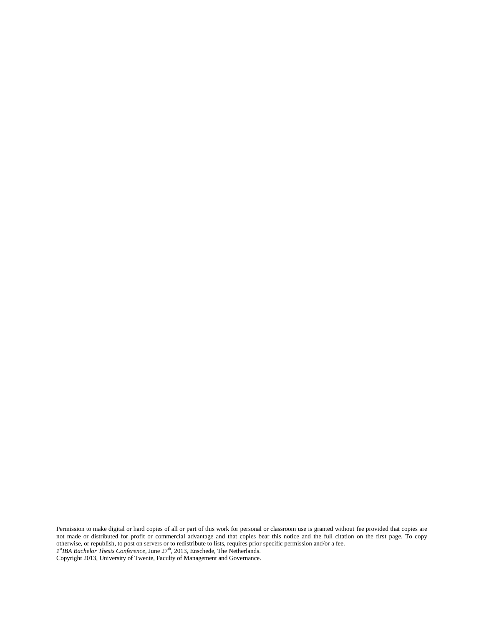Permission to make digital or hard copies of all or part of this work for personal or classroom use is granted without fee provided that copies are not made or distributed for profit or commercial advantage and that copies bear this notice and the full citation on the first page. To copy otherwise, or republish, to post on servers or to redistribute to lists, requires prior specific permission and/or a fee.

1<sup>st</sup>IBA Bachelor Thesis Conference, June 27<sup>th</sup>, 2013, Enschede, The Netherlands.

Copyright 2013, University of Twente, Faculty of Management and Governance.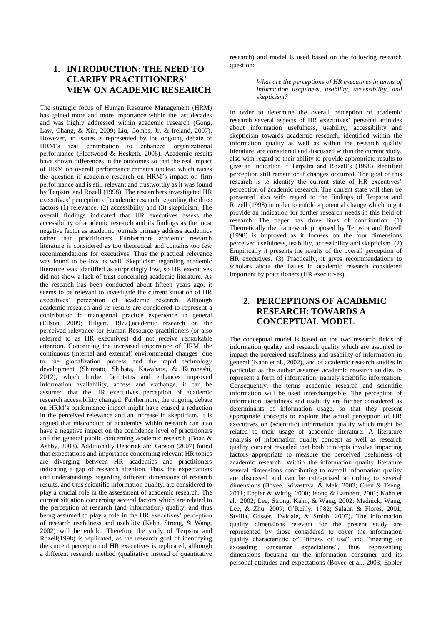## **1. INTRODUCTION: THE NEED TO CLARIFY PRACTITIONERS' VIEW ON ACADEMIC RESEARCH**

The strategic focus of Human Resource Management (HRM) has gained more and more importance within the last decades and was highly addressed within academic research (Gong, Law, Chang, & Xin, 2009; Liu, Combs, Jr, & Ireland, 2007). However, an issues is represented by the ongoing debate of HRM's real contribution to enhanced organizational performance (Fleetwood & Hesketh, 2006). Academic results have shown differences in the outcomes so that the real impact of HRM on overall performance remains unclear which raises the question if academic research on HRM's impact on firm performance and is still relevant and trustworthy as it was found by Terpstra and Rozell (1998). The researchers investigated HR executives' perception of academic research regarding the three factors (1) relevance, (2) accessibility and (3) skepticism. The overall findings indicated that HR executives assess the accessibility of academic research and its findings as the most negative factor as academic journals primary address academics rather than practitioners. Furthermore academic research literature is considered as too theoretical and contains too few recommendations for executives. Thus the practical relevance was found to be low as well. Skepticism regarding academic literature was identified as surprisingly low, so HR executives did not show a lack of trust concerning academic literature. As the research has been conducted about fifteen years ago, it seems to be relevant to investigate the current situation of HR executives' perception of academic research. Although academic research and its results are considered to represent a contribution to managerial practice experience in general (Ellson, 2009; Hilgert, 1972),academic research on the perceived relevance for Human Resource practitioners (or also referred to as HR executives) did not receive remarkable attention. Concerning the increased importance of HRM, the continuous (internal and external) environmental changes due to the globalization process and the rapid technology development (Shinzato, Shibata, Kawahara, & Kurohashi, 2012), which further facilitates and enhances improved information availability, access and exchange, it can be assumed that the HR executives perception of academic research accessibility changed. Furthermore, the ongoing debate on HRM's performance impact might have caused a reduction in the perceived relevance and an increase in skepticism. It is argued that misconduct of academics within research can also have a negative impact on the confidence level of practitioners and the general public concerning academic research (Boaz & Ashby, 2003). Additionally Deadrick and Gibson (2007) found that expectations and importance concerning relevant HR topics are diverging between HR academics and practitioners indicating a gap of research attention. Thus, the expectations and understandings regarding different dimensions of research results, and thus scientific information quality, are considered to play a crucial role in the assessment of academic research. The current situation concerning several factors which are related to the perception of research (and information) quality, and thus being assumed to play a role in the HR executives' perception of research usefulness and usability (Kahn, Strong, & Wang, 2002) will be enfold. Therefore the study of Terpstra and Rozell(1998) is replicated, as the research goal of identifying the current perception of HR executives is replicated, although a different research method (qualitative instead of quantitative research) and model is used based on the following research question:

> *What are the perceptions of HR executives in terms of information usefulness, usability, accessibility, and skepticism?*

In order to determine the overall perception of academic research several aspects of HR executives' personal attitudes about information usefulness, usability, accessibility and skepticism towards academic research, identified within the information quality as well as within the research quality literature, are considered and discussed within the current study, also with regard to their ability to provide appropriate results to give an indication if Terpstra and Rozell's (1998) identified perception still remain or if changes occurred. The goal of this research is to identify the current state of HR executives' perception of academic research. The current state will then be presented also with regard to the findings of Terpstra and Rozell (1998) in order to enfold a potential change which might provide an indication for further research needs in this field of research. The paper has three lines of contribution. (1) Theoretically the framework proposed by Terpstra and Rozell (1998) is improved as it focuses on the four dimensions perceived usefulness, usability, accessibility and skepticism. (2) Empirically it presents the results of the overall perception of HR executives. (3) Practically, it gives recommendations to scholars about the issues in academic research considered important by practitioners (HR executives).

## **2. PERCEPTIONS OF ACADEMIC RESEARCH: TOWARDS A CONCEPTUAL MODEL**

The conceptual model is based on the two research fields of information quality and research quality which are assumed to impact the perceived usefulness and usability of information in general (Kahn et al., 2002), and of academic research studies in particular as the author assumes academic research studies to represent a form of information, namely scientific information. Consequently, the terms academic research and scientific information will be used interchangeable. The perception of information usefulness and usability are further considered as determinants of information usage, so that they present appropriate concepts to explore the actual perception of HR executives on (scientific) information quality which might be related to their usage of academic literature. A literature analysis of information quality concept as well as research quality concept revealed that both concepts involve impacting factors appropriate to measure the perceived usefulness of academic research. Within the information quality literature several dimensions contributing to overall information quality are discussed and can be categorized according to several dimensions (Bovee, Srivastava, & Mak, 2003; Chen & Tseng, 2011; Eppler & Wittig, 2000; Jeong & Lambert, 2001; Kahn et al., 2002; Lee, Strong, Kahn, & Wang, 2002; Madnick, Wang, Lee, & Zhu, 2009; O'Reilly, 1982; Salaün & Flores, 2001; Stvilia, Gasser, Twidale, & Smith, 2007). The information quality dimensions relevant for the present study are represented by those considered to cover the information quality characteristic of "fitness of use" and "meeting or exceeding consumer expectations", thus representing dimensions focusing on the information consumer and its personal attitudes and expectations (Bovee et al., 2003; Eppler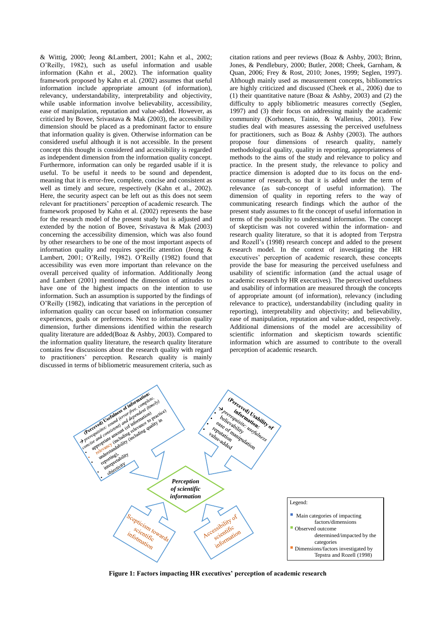& Wittig, 2000; Jeong &Lambert, 2001; Kahn et al., 2002; O'Reilly, 1982), such as useful information and usable information (Kahn et al., 2002). The information quality framework proposed by Kahn et al. (2002) assumes that useful information include appropriate amount (of information), relevancy, understandability, interpretability and objectivity, while usable information involve believability, accessibility, ease of manipulation, reputation and value-added. However, as criticized by Bovee, Srivastava & Mak (2003), the accessibility dimension should be placed as a predominant factor to ensure that information quality is given. Otherwise information can be considered useful although it is not accessible. In the present concept this thought is considered and accessibility is regarded as independent dimension from the information quality concept. Furthermore, information can only be regarded usable if it is useful. To be useful it needs to be sound and dependent, meaning that it is error-free, complete, concise and consistent as well as timely and secure, respectively (Kahn et al., 2002). Here, the security aspect can be left out as this does not seem relevant for practitioners' perception of academic research. The framework proposed by Kahn et al. (2002) represents the base for the research model of the present study but is adjusted and extended by the notion of Bovee, Srivastava & Mak (2003) concerning the accessibility dimension, which was also found by other researchers to be one of the most important aspects of information quality and requires specific attention (Jeong & Lambert, 2001; O'Reilly, 1982). O'Reilly (1982) found that accessibility was even more important than relevance on the overall perceived quality of information. Additionally Jeong and Lambert (2001) mentioned the dimension of attitudes to have one of the highest impacts on the intention to use information. Such an assumption is supported by the findings of O'Reilly (1982), indicating that variations in the perception of information quality can occur based on information consumer experiences, goals or preferences. Next to information quality dimension, further dimensions identified within the research quality literature are added(Boaz & Ashby, 2003). Compared to the information quality literature, the research quality literature contains few discussions about the research quality with regard to practitioners' perception. Research quality is mainly discussed in terms of bibliometric measurement criteria, such as

citation rations and peer reviews (Boaz & Ashby, 2003; Brinn, Jones, & Pendlebury, 2000; Butler, 2008; Cheek, Garnham, & Quan, 2006; Frey & Rost, 2010; Jones, 1999; Seglen, 1997). Although mainly used as measurement concepts, bibliometrics are highly criticized and discussed (Cheek et al., 2006) due to (1) their quantitative nature (Boaz & Ashby, 2003) and (2) the difficulty to apply bibliometric measures correctly (Seglen, 1997) and (3) their focus on addressing mainly the academic community (Korhonen, Tainio, & Wallenius, 2001). Few studies deal with measures assessing the perceived usefulness for practitioners, such as Boaz & Ashby (2003). The authors propose four dimensions of research quality, namely methodological quality, quality in reporting, appropriateness of methods to the aims of the study and relevance to policy and practice. In the present study, the relevance to policy and practice dimension is adopted due to its focus on the endconsumer of research, so that it is added under the term of relevance (as sub-concept of useful information). The dimension of quality in reporting refers to the way of communicating research findings which the author of the present study assumes to fit the concept of useful information in terms of the possibility to understand information. The concept of skepticism was not covered within the information- and research quality literature, so that it is adopted from Terpstra and Rozell's (1998) research concept and added to the present research model. In the context of investigating the HR executives' perception of academic research, these concepts provide the base for measuring the perceived usefulness and usability of scientific information (and the actual usage of academic research by HR executives). The perceived usefulness and usability of information are measured through the concepts of appropriate amount (of information), relevancy (including relevance to practice), understandability (including quality in reporting), interpretability and objectivity; and believability, ease of manipulation, reputation and value-added, respectively. Additional dimensions of the model are accessibility of scientific information and skepticism towards scientific information which are assumed to contribute to the overall perception of academic research.



**Figure 1: Factors impacting HR executives' perception of academic research**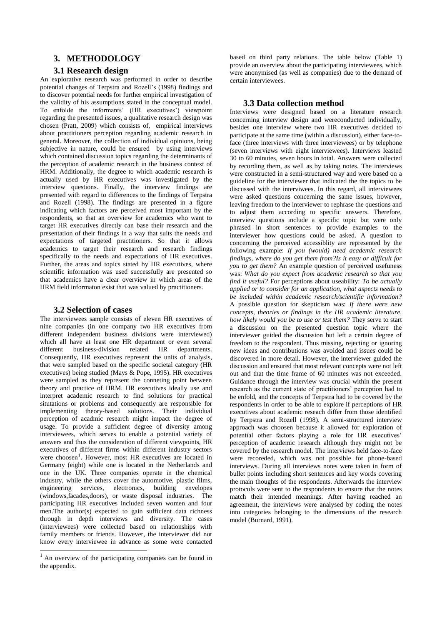## **3. METHODOLOGY**

### **3.1 Research design**

An explorative research was performed in order to describe potential changes of Terpstra and Rozell's (1998) findings and to discover potential needs for further empirical investigation of the validity of his assumptions stated in the conceptual model. To enfolde the informants' (HR executives') viewpoint regarding the presented issues, a qualitative research design was chosen (Pratt, 2009) which consists of, empirical interviews about practitioners perception regarding academic research in general. Moreover, the collection of individual opinions, being subjective in nature, could be ensured by using interviews which contained discussion topics regarding the determinants of the perception of academic research in the business context of HRM. Additionally, the degree to which academic research is actually used by HR executives was investigated by the interview questions. Finally, the interview findings are presented with regard to differences to the findings of Terpstra and Rozell (1998). The findings are presented in a figure indicating which factors are perceived most important by the respondents, so that an overview for academics who want to target HR executives directly can base their research and the presentation of their findings in a way that suits the needs and expectations of targeted practitioners. So that it allows academics to target their research and research findings specifically to the needs and expectations of HR executives. Further, the areas and topics stated by HR executives, where scientific information was used successfully are presented so that academics have a clear overview in which areas of the HRM field informaton exist that was valued by practitioners.

## **3.2 Selection of cases**

The interviewees sample consists of eleven HR executives of nine companies (in one company two HR executives from different independent business divisions were interviewed) which all have at least one HR department or even several different business-division related HR departments. Consequently, HR executives represent the units of analysis, that were sampled based on the specific societal category (HR executives) being studied (Mays & Pope, 1995). HR executives were sampled as they represent the conneting point between theory and practice of HRM. HR executives ideally use and interpret academic research to find solutions for practical situtations or problems and consequently are responsible for implementing theory-based solutions. Their individual perception of acadmic research might impact the degree of usage. To provide a sufficient degree of diversity among interviewees, which serves to enable a potential variety of answers and thus the consideration of different viewpoints, HR executives of different firms within different industry sectors were choosen<sup>1</sup>. However, most HR executives are located in Germany (eight) while one is located in the Netherlands and one in the UK. Three companies operate in the chemical industry, while the others cover the automotive, plastic films, engineering services, electronics, building envelopes (windows,facades,doors), or waste disposal industries. The participating HR executives included seven women and four men.The author(s) expected to gain sufficient data richness through in depth interviews and diversity. The cases (interviewees) were collected based on relationships with family members or friends. However, the interviewer did not know every interviewee in advance as some were contacted

 $\overline{a}$ 

based on third party relations. The table below (Table 1) provide an overview about the participating interviewees, which were anonymised (as well as companies) due to the demand of certain interviewees.

#### **3.3 Data collection method**

Interviews were designed based on a literature research concerning interview design and wereconducted individually, besides one interview where two HR executives decided to participate at the same time (within a discussion), either face-toface (three interviews with three interviewees) or by telephone (seven interviews with eight interviewees). Interviews leasted 30 to 60 minutes, seven hours in total. Answers were collected by recording them, as well as by taking notes. The interviews were constructed in a semi-structured way and were based on a guideline for the interviewer that indicated the the topics to be discussed with the interviwees. In this regard, all interviewees were asked questions concerning the same issues, however, leaving freedom to the interviewer to rephrase the questions and to adjust them according to specific answers. Therefore, interview questions include a specific topic but were only phrased in short sentences to provide examples to the interviewer how questions could be asked. A question to concerning the perceived accessiblity are represented by the following example: *If you (would) need academic research findings, where do you get them from?Is it easy or difficult for you to get them?* An example question of perceived usefuness was: *What do you expect from academic research so that you find it useful?* For perceptions about useability: *To be actually applied or to consider for an application, what aspects needs to be included within academic research/scientific information?* A possible question for skepticism was: *If there were new concepts, theories or findings in the HR academic literature, how likely would you be to use or test them?* They serve to start a discussion on the presented question topic where the interviewer guided the discussion but left a certain degree of freedom to the respondent. Thus missing, rejecting or ignoring new ideas and contributions was avoided and issues could be discovered in more detail. However, the interviewer guided the discussion and ensured that most relevant concepts were not left out and that the time frame of 60 minutes was not exceeded. Guidance through the interview was crucial within the present research as the current state of practitioners' perception had to be enfold, and the concepts of Terpstra had to be covered by the respondents in order to be able to explore if perceptions of HR executives about academic reseach differ from those identified by Terpstra and Rozell (1998). A semi-structured interview approach was choosen because it allowed for exploration of potential other factors playing a role for HR executives' perception of academic research although they might not be covered by the research model. The interviews held face-to-face were recoreded, which was not possible for phone-based interviews. During all interviews notes were taken in form of bullet points including short sentences and key words covering the main thoughts of the respondents. Afterwards the interview protocols were sent to the respondents to ensure that the notes match their intended meanings. After having reached an agreement, the interviews were analysed by coding the notes into categories belonging to the dimensions of the research model (Burnard, 1991).

 $<sup>1</sup>$  An overview of the participating companies can be found in</sup> the appendix.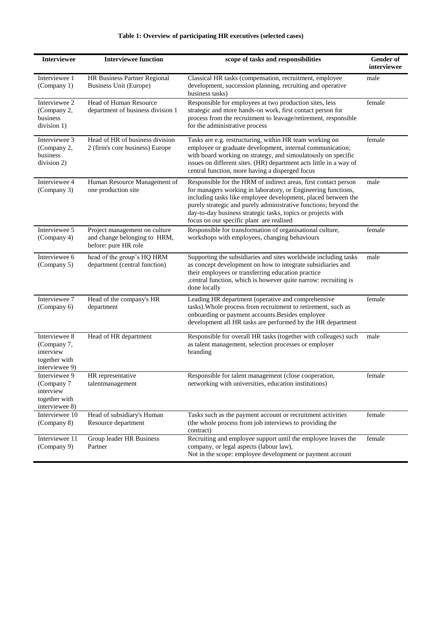| <b>Interviewee</b>                                                           | <b>Interviewee function</b>                                                           | scope of tasks and responsibilities                                                                                                                                                                                                                                                                                                                                               | Gender of<br>interviewee |
|------------------------------------------------------------------------------|---------------------------------------------------------------------------------------|-----------------------------------------------------------------------------------------------------------------------------------------------------------------------------------------------------------------------------------------------------------------------------------------------------------------------------------------------------------------------------------|--------------------------|
| Interviewee 1<br>(Company 1)                                                 | HR Business Partner Regional<br>Business Unit (Europe)                                | Classical HR tasks (compensation, recruitment, employee<br>development, succession planning, recruiting and operative<br>business tasks)                                                                                                                                                                                                                                          | male                     |
| Interviewee 2<br>(Company 2,<br>business<br>division 1)                      | Head of Human Resource<br>department of business division 1                           | Responsible for employees at two production sites, less<br>strategic and more hands-on work, first contact person for<br>process from the recruitment to leavage/retirement, responsible<br>for the administrative process                                                                                                                                                        | female                   |
| Interviewee 3<br>(Company 2,<br>business<br>division 2)                      | Head of HR of business division<br>2 (firm's core business) Europe                    | Tasks are e.g. restructuring, within HR team working on<br>employee or graduate development, internal communication;<br>with board working on strategy, and simoulatously on specific<br>issues on different sites. (HR) department acts little in a way of<br>central function, more having a disperged focus                                                                    | female                   |
| Interviewee 4<br>(Company 3)                                                 | Human Resource Management of<br>one production site                                   | Responsible for the HRM of indirect areas, first contact person<br>for managers working in laboratory, or Engineering functions,<br>including tasks like employee development, placed between the<br>purely strategic and purely administrative functions; beyond the<br>day-to-day business strategic tasks, topics or projects with<br>focus on our specific plant are realised | male                     |
| Interviewee 5<br>(Company 4)                                                 | Project management on culture<br>and change belonging to HRM,<br>before: pure HR role | Responsible for transformation of organisational culture,<br>workshops with employees, changing behaviours                                                                                                                                                                                                                                                                        | female                   |
| Interviewee 6<br>(Company 5)                                                 | head of the group's HQ HRM<br>department (central function)                           | Supporting the subsidiaries and sites worldwide including tasks<br>as concept development on how to integrate subsidiaries and<br>their employees or transferring education practice<br>, central function, which is however quite narrow: recruiting is<br>done locally                                                                                                          | male                     |
| Interviewee 7<br>(Company 6)                                                 | Head of the company's HR<br>department                                                | Leading HR department (operative and comprehensive<br>tasks). Whole process from recruitment to retirement, such as<br>onboarding or payment accounts. Besides employee<br>development all HR tasks are performed by the HR department                                                                                                                                            | female                   |
| Interviewee 8<br>(Company 7,<br>interview<br>together with<br>interviewee 9) | Head of HR department                                                                 | Responsible for overall HR tasks (together with colleages) such<br>as talent management, selection processes or employer<br>branding                                                                                                                                                                                                                                              | male                     |
| Interviewee 9<br>(Company 7<br>interview<br>together with<br>interviewee 8)  | HR representative<br>talentmanagement                                                 | Responsible for talent management (close cooperation,<br>networking with universities, education institutions)                                                                                                                                                                                                                                                                    | female                   |
| Interviewee 10<br>(Company 8)                                                | Head of subsidiary's Human<br>Resource department                                     | Tasks such as the payment account or recruitment activities<br>(the whole process from job interviews to providing the<br>contract)                                                                                                                                                                                                                                               | female                   |
| Interviewee 11<br>(Company 9)                                                | Group leader HR Business<br>Partner                                                   | Recruiting and employee support until the employee leaves the<br>company, or legal aspects (labour law),<br>Not in the scope: employee development or payment account                                                                                                                                                                                                             | female                   |

## **Table 1: Overview of participating HR executives (selected cases)**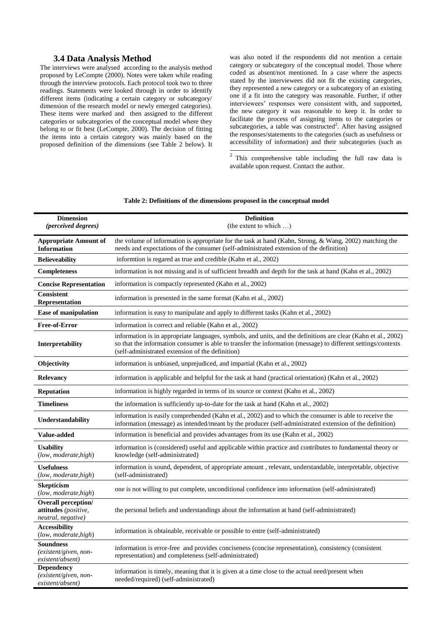## **3.4 Data Analysis Method**

The interviews were analysed according to the analysis method proposed by LeCompte (2000). Notes were taken while reading through the interview protocols. Each protocol took two to three readings. Statements were looked through in order to identify different items (indicating a certain category or subcategory/ dimension of the research model or newly emerged categories). These items were marked and then assigned to the different categories or subcategories of the conceptual model where they belong to or fit best (LeCompte, 2000). The decision of fitting the items into a certain category was mainly based on the proposed definition of the dimensions (see Table 2 below). It

was also noted if the respondents did not mention a certain category or subcategory of the conceptual model. Those where coded as absent/not mentioned. In a case where the aspects stated by the interviewees did not fit the existing categories, they represented a new category or a subcategory of an existing one if a fit into the category was reasonable. Further, if other interviewees' responses were consistent with, and supported, the new category it was reasonable to keep it. In order to facilitate the process of assigning items to the categories or subcategories, a table was constructed<sup>2</sup>. After having assigned the responses/statements to the categories (such as usefulness or accessibility of information) and their subcategories (such as

<sup>2</sup> This comprehensive table including the full raw data is available upon request. Contact the author.

| <b>Dimension</b><br>(perceived degrees)                                  | <b>Definition</b><br>(the extent to which )                                                                                                                                                                                                                                         |  |  |  |
|--------------------------------------------------------------------------|-------------------------------------------------------------------------------------------------------------------------------------------------------------------------------------------------------------------------------------------------------------------------------------|--|--|--|
| <b>Appropriate Amount of</b><br><b>Information</b>                       | the volume of information is appropriate for the task at hand (Kahn, Strong, & Wang, 2002) matching the<br>needs and expectations of the consumer (self-administrated extension of the definition)                                                                                  |  |  |  |
| <b>Believeability</b>                                                    | informtion is regared as true and credible (Kahn et al., 2002)                                                                                                                                                                                                                      |  |  |  |
| <b>Completeness</b>                                                      | information is not missing and is of sufficient breadth and depth for the task at hand (Kahn et al., 2002)                                                                                                                                                                          |  |  |  |
| <b>Concise Representation</b>                                            | information is compactly represented (Kahn et al., 2002)                                                                                                                                                                                                                            |  |  |  |
| <b>Consistent</b><br>Representation                                      | information is presented in the same format (Kahn et al., 2002)                                                                                                                                                                                                                     |  |  |  |
| <b>Ease of manipulation</b>                                              | information is easy to manipulate and apply to different tasks (Kahn et al., 2002)                                                                                                                                                                                                  |  |  |  |
| <b>Free-of-Error</b>                                                     | information is correct and reliable (Kahn et al., 2002)                                                                                                                                                                                                                             |  |  |  |
| Interpretability                                                         | information is in appropriate languages, symbols, and units, and the definitions are clear (Kahn et al., 2002)<br>so that the information consumer is able to transfer the information (message) to different settings/contexts<br>(self-administrated extension of the definition) |  |  |  |
| Objectivity                                                              | information is unbiased, unprejudiced, and impartial (Kahn et al., 2002)                                                                                                                                                                                                            |  |  |  |
| <b>Relevancy</b>                                                         | information is applicable and helpful for the task at hand (practical orientation) (Kahn et al., 2002)                                                                                                                                                                              |  |  |  |
| <b>Reputation</b>                                                        | information is highly regarded in terms of its source or context (Kahn et al., 2002)                                                                                                                                                                                                |  |  |  |
| <b>Timeliness</b>                                                        | the information is sufficiently up-to-date for the task at hand (Kahn et al., 2002)                                                                                                                                                                                                 |  |  |  |
| Understandability                                                        | information is easily comprehended (Kahn et al., 2002) and to which the consumer is able to receive the<br>information (message) as intended/meant by the producer (self-administrated extension of the definition)                                                                 |  |  |  |
| <b>Value-added</b>                                                       | information is beneficial and provides advantages from its use (Kahn et al., 2002)                                                                                                                                                                                                  |  |  |  |
| <b>Usability</b><br>(low, moderate, high)                                | information is (considered) useful and applicable within practice and contributes to fundamental theory or<br>knowledge (self-administrated)                                                                                                                                        |  |  |  |
| <b>Usefulness</b><br>(low, moderate,high)                                | information is sound, dependent, of appropriate amount, relevant, understandable, interpretable, objective<br>(self-administrated)                                                                                                                                                  |  |  |  |
| <b>Skepticism</b><br>(low, moderate,high)                                | one is not willing to put complete, unconditional confidence into information (self-administrated)                                                                                                                                                                                  |  |  |  |
| <b>Overall perception/</b><br>attitudes (positive,<br>neutral, negative) | the personal beliefs and understandings about the information at hand (self-administrated)                                                                                                                                                                                          |  |  |  |
| <b>Accessibility</b><br>(low, moderate, high)                            | information is obtainable, receivable or possible to entre (self-administrated)                                                                                                                                                                                                     |  |  |  |
| <b>Soundness</b><br>$(existent/given, non-$<br>existent/absent)          | information is error-free and provides conciseness (concise representation), consistency (consistent<br>representation) and completeness (self-administrated)                                                                                                                       |  |  |  |
| <b>Dependency</b><br>(existent/given, non-<br>existent/absent)           | information is timely, meaning that it is given at a time close to the actual need/present when<br>needed/required) (self-administrated)                                                                                                                                            |  |  |  |

#### **Table 2: Definitions of the dimensions proposed in the conceptual model**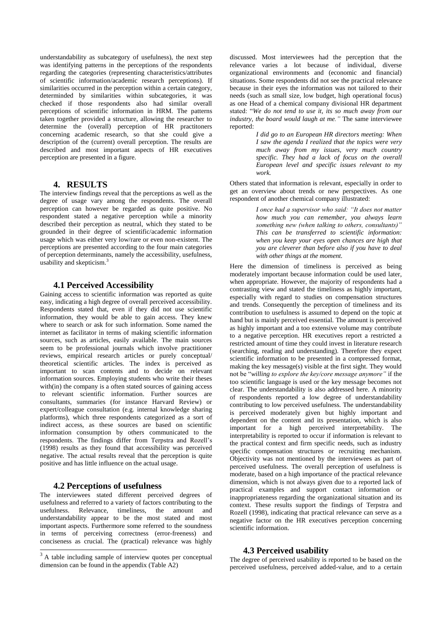understandability as subcategory of usefulness), the next step was identifying patterns in the perceptions of the respondents regarding the categories (representing characteristics/attributes of scientific information/academic research perceptions). If similarities occurred in the perception within a certain category. determinded by similarities within subcategories, it was checked if those respondents also had similar overall perceptions of scientific information in HRM. The patterns taken together provided a structure, allowing the researcher to determine the (overall) perception of HR practitoners concerning academic research, so that she could give a description of the (current) overall perception. The results are described and most important aspects of HR executives perception are presented in a figure.

## **4. RESULTS**

The interview findings reveal that the perceptions as well as the degree of usage vary among the respondents. The overall perception can however be regarded as quite positive. No respondent stated a negative perception while a minority described their perception as neutral, which they stated to be grounded in their degree of scientific/academic information usage which was either very low/rare or even non-existent. The perceptions are presented according to the four main categories of perception determinants, namely the accessibility, usefulness, usability and skepticism.<sup>3</sup>

#### **4.1 Perceived Accessibility**

Gaining access to scientific information was reported as quite easy, indicating a high degree of overall perceived accessibility. Respondents stated that, even if they did not use scientific information, they would be able to gain access. They knew where to search or ask for such information. Some named the internet as facilitator in terms of making scientific information sources, such as articles, easily available. The main sources seem to be professional journals which involve practitioner reviews, empirical research articles or purely conceptual/ theoretical scientific articles. The index is perceived as important to scan contents and to decide on relevant information sources. Employing students who write their theses with(in) the company is a often stated sources of gaining access to relevant scientific information. Further sources are consultants, summaries (for instance Harvard Review) or expert/colleague consultation (e.g. internal knowledge sharing platforms), which three respondents categorized as a sort of indirect access, as these sources are based on scientific information consumption by others communicated to the respondents. The findings differ from Terpstra and Rozell's (1998) results as they found that accessibility was perceived negative. The actual results reveal that the perception is quite positive and has little influence on the actual usage.

### **4.2 Perceptions of usefulness**

The interviewees stated different perceived degrees of usefulness and referred to a variety of factors contributing to the usefulness. Relevance, timeliness, the amount and understandability appear to be the most stated and most important aspects. Furthermore some referred to the soundness in terms of perceiving correctness (error-freeness) and conciseness as crucial. The (practical) relevance was highly 1

discussed. Most interviewees had the perception that the relevance varies a lot because of individual, diverse organizational environments and (economic and financial) situations. Some respondents did not see the practical relevance because in their eyes the information was not tailored to their needs (such as small size, low budget, high operational focus) as one Head of a chemical company divisional HR department stated: "*We do not tend to use it, its so much away from our industry, the board would laugh at me."* The same interviewee reported:

> *I did go to an European HR directors meeting: When I saw the agenda I realized that the topics were very much away from my issues, very much country specific. They had a lack of focus on the overall European level and specific issues relevant to my work.*

Others stated that information is relevant, especially in order to get an overview about trends or new perspectives. As one respondent of another chemical company illustrated:

> *I once had a supervisor who said: "It does not matter how much you can remember, you always learn something new (when talking to others, consultants)" This can be transferred to scientific information: when you keep your eyes open chances are high that you are cleverer than before also if you have to deal with other things at the moment.*

Here the dimension of timeliness is perceived as being moderately important because information could be used later, when appropriate. However, the majority of respondents had a contrasting view and stated the timeliness as highly important, especially with regard to studies on compensation structures and trends. Consequently the perception of timeliness and its contribution to usefulness is assumed to depend on the topic at hand but is mainly perceived essential. The amount is perceived as highly important and a too extensive volume may contribute to a negative perception. HR executives report a restricted a restricted amount of time they could invest in literature research (searching, reading and understanding). Therefore they expect scientific information to be presented in a compressed format, making the key message(s) visible at the first sight. They would not be "*willing to explore the key/core message anymore"* if the too scientific language is used or the key message becomes not clear. The understandability is also addressed here. A minority of respondents reported a low degree of understandability contributing to low perceived usefulness. The understandability is perceived moderately given but highly important and dependent on the content and its presentation, which is also important for a high perceived interpretability. The interpretability is reported to occur if information is relevant to the practical context and firm specific needs, such as industry specific compensation structures or recruiting mechanism. Objectivity was not mentioned by the interviewees as part of perceived usefulness. The overall perception of usefulness is moderate, based on a high importance of the practical relevance dimension, which is not always given due to a reported lack of practical examples and support contact information or inappropriateness regarding the organizational situation and its context. These results support the findings of Terpstra and Rozell (1998), indicating that practical relevance can serve as a negative factor on the HR executives perception concerning scientific information.

#### **4.3 Perceived usability**

The degree of perceived usability is reported to be based on the perceived usefulness, perceived added-value, and to a certain

 $3$  A table including sample of interview quotes per conceptual dimension can be found in the appendix (Table A2)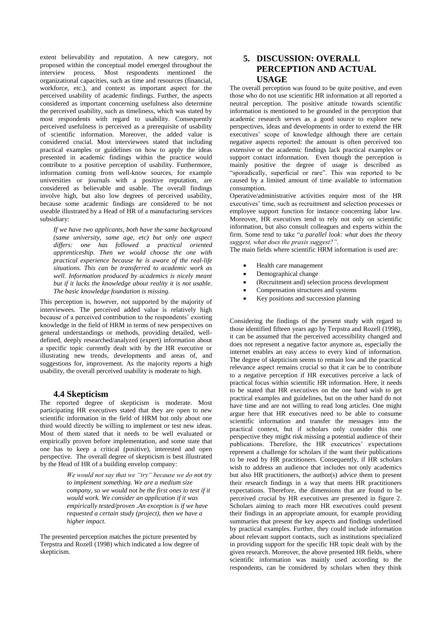extent believability and reputation. A new category, not proposed within the conceptual model emerged throughout the interview process. Most respondents mentioned the organizational capacities, such as time and resources (financial, workforce, etc.), and context as important aspect for the perceived usability of academic findings. Further, the aspects considered as important concerning usefulness also determine the perceived usability, such as timeliness, which was stated by most respondents with regard to usability. Consequently perceived usefulness is perceived as a prerequisite of usability of scientific information. Moreover, the added value is considered crucial. Most interviewees stated that including practical examples or guidelines on how to apply the ideas presented in academic findings within the practice would contribute to a positive perception of usability. Furthermore, information coming from well-know sources, for example universities or journals with a positive reputation, are considered as believable and usable. The overall findings involve high, but also low degrees of perceived usability, because some academic findings are considered to be not useable illustrated by a Head of HR of a manufacturing services subsidiary:

*If we have two applicants, both have the same background (same university, same age, etc) but only one aspect differs: one has followed a practical oriented apprenticeship. Then we would choose the one with practical experience because he is aware of the real-life situations. This can be transferred to academic work as well. Information produced by academics is nicely meant but if it lacks the knowledge about reality it is not usable. The basic knowledge foundation is missing.*

This perception is, however, not supported by the majority of interviewees. The perceived added value is relatively high because of a perceived contribution to the respondents' existing knowledge in the field of HRM in terms of new perspectives on general understandings or methods, providing detailed, welldefined, deeply researched/analyzed (expert) information about a specific topic currently dealt with by the HR executive or illustrating new trends, developments and areas of, and suggestions for, improvement. As the majority reports a high usability, the overall perceived usability is moderate to high.

### **4.4 Skepticism**

The reported degree of skepticism is moderate. Most participating HR executives stated that they are open to new scientific information in the field of HRM but only about one third would directly be willing to implement or test new ideas. Most of them stated that it needs to be well evaluated or empirically proven before implementation, and some state that one has to keep a critical (positive), interested and open perspective. The overall degree of skepticism is best illustrated by the Head of HR of a building envelop company:

> *We would not say that we "try" because we do not try to implement something. We are a medium size company, so we would not be the first ones to test if it would work. We consider an application if it was empirically tested/proven .An exception is if we have requested a certain study (project), then we have a higher impact.*

The presented perception matches the picture presented by Terpstra and Rozell (1998) which indicated a low degree of skepticism.

## **5. DISCUSSION: OVERALL PERCEPTION AND ACTUAL USAGE**

The overall perception was found to be quite positive, and even those who do not use scientific HR information at all reported a neutral perception. The positive attitude towards scientific information is mentioned to be grounded in the perception that academic research serves as a good source to explore new perspectives, ideas and developments in order to extend the HR executives' scope of knowledge although there are certain negative aspects reported: the amount is often perceived too extensive or the academic findings lack practical examples or support contact information. Even though the perception is mainly positive the degree of usage is described as "sporadically, superficial or rare". This was reported to be caused by a limited amount of time available to information consumption.

Operative/administrative activities require most of the HR executives' time, such as recruitment and selection processes or employee support function for instance concerning labor law. Moreover, HR executives tend to rely not only on scientific information, but also consult colleagues and experts within the firm. Some tend to take "*a parallel look: what does the theory suggest, what does the praxis suggest?".*

The main fields where scientific HRM information is used are:

- Health care management
- Demographical change
- (Recruitment and) selection process development
- Compensation structures and systems
- Key positions and succession planning

Considering the findings of the present study with regard to those identified fifteen years ago by Terpstra and Rozell (1998), it can be assumed that the perceived accessibility changed and does not represent a negative factor anymore as, especially the internet enables an easy access to every kind of information. The degree of skepticism seems to remain low and the practical relevance aspect remains crucial so that it can be to contribute to a negative perception if HR executives perceive a lack of practical focus within scientific HR information. Here, it needs to be stated that HR executives on the one hand wish to get practical examples and guidelines, but on the other hand do not have time and are not willing to read long articles. One might argue here that HR executives need to be able to consume scientific information and transfer the messages into the practical context, but if scholars only consider this one perspective they might risk missing a potential audience of their publications. Therefore, the HR executrices' expectations represent a challenge for scholars if the want their publications to be read by HR practitioners. Consequently, if HR scholars wish to address an audience that includes not only academics but also HR practitioners, the author(s) advice them to present their research findings in a way that meets HR practitioners expectations. Therefore, the dimensions that are found to be perceived crucial by HR executives are presented in figure 2. Scholars aiming to reach more HR executives could present their findings in an appropriate amount, for example providing summaries that present the key aspects and findings underlined by practical examples. Further, they could include information about relevant support contacts, such as institutions specialized in providing support for the specific HR topic dealt with by the given research. Moreover, the above presented HR fields, where scientific information was mainly used according to the respondents, can be considered by scholars when they think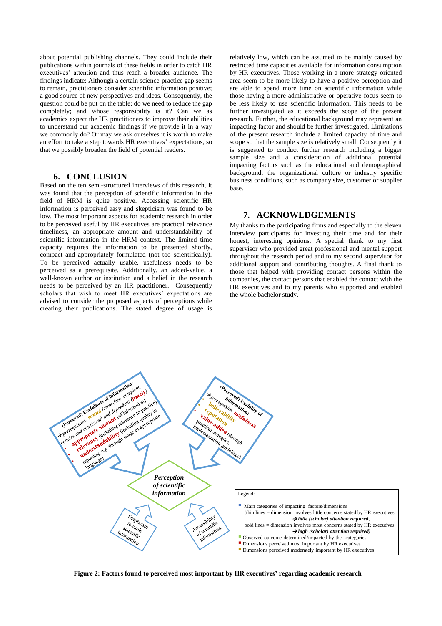about potential publishing channels. They could include their publications within journals of these fields in order to catch HR executives' attention and thus reach a broader audience. The findings indicate: Although a certain science-practice gap seems to remain, practitioners consider scientific information positive; a good source of new perspectives and ideas. Consequently, the question could be put on the table: do we need to reduce the gap completely; and whose responsibility is it? Can we as academics expect the HR practitioners to improve their abilities to understand our academic findings if we provide it in a way we commonly do? Or may we ask ourselves it is worth to make an effort to take a step towards HR executives' expectations, so that we possibly broaden the field of potential readers.

## **6. CONCLUSION**

Based on the ten semi-structured interviews of this research, it was found that the perception of scientific information in the field of HRM is quite positive. Accessing scientific HR information is perceived easy and skepticism was found to be low. The most important aspects for academic research in order to be perceived useful by HR executives are practical relevance timeliness, an appropriate amount and understandability of scientific information in the HRM context. The limited time capacity requires the information to be presented shortly, compact and appropriately formulated (not too scientifically). To be perceived actually usable, usefulness needs to be perceived as a prerequisite. Additionally, an added-value, a well-known author or institution and a belief in the research needs to be perceived by an HR practitioner. Consequently scholars that wish to meet HR executives' expectations are advised to consider the proposed aspects of perceptions while creating their publications. The stated degree of usage is

relatively low, which can be assumed to be mainly caused by restricted time capacities available for information consumption by HR executives. Those working in a more strategy oriented area seem to be more likely to have a positive perception and are able to spend more time on scientific information while those having a more administrative or operative focus seem to be less likely to use scientific information. This needs to be further investigated as it exceeds the scope of the present research. Further, the educational background may represent an impacting factor and should be further investigated. Limitations of the present research include a limited capacity of time and scope so that the sample size is relatively small. Consequently it is suggested to conduct further research including a bigger sample size and a consideration of additional potential impacting factors such as the educational and demographical background, the organizational culture or industry specific business conditions, such as company size, customer or supplier base.

## **7. ACKNOWLDGEMENTS**

My thanks to the participating firms and especially to the eleven interview participants for investing their time and for their honest, interesting opinions. A special thank to my first supervisor who provided great professional and mental support throughout the research period and to my second supervisor for additional support and contributing thoughts. A final thank to those that helped with providing contact persons within the companies, the contact persons that enabled the contact with the HR executives and to my parents who supported and enabled the whole bachelor study.



**Figure 2: Factors found to perceived most important by HR executives' regarding academic research**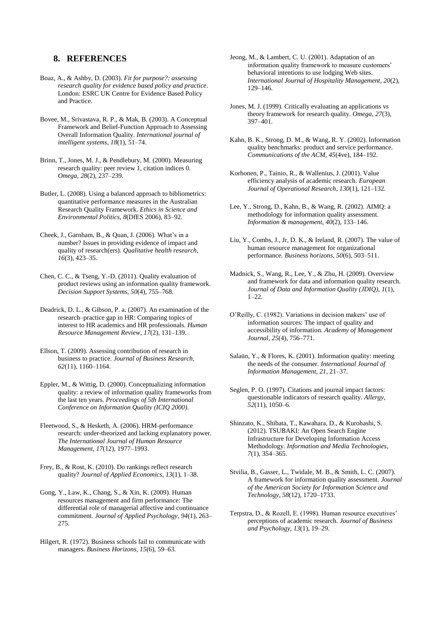## **8. REFERENCES**

- Boaz, A., & Ashby, D. (2003). *Fit for purpose?: assessing research quality for evidence based policy and practice*. London: ESRC UK Centre for Evidence Based Policy and Practice.
- Bovee, M., Srivastava, R. P., & Mak, B. (2003). A Conceptual Framework and Belief-Function Approach to Assessing Overall Information Quality. *International journal of intelligent systems*, *18*(1), 51–74.
- Brinn, T., Jones, M. J., & Pendlebury, M. (2000). Measuring research quality: peer review 1, citation indices 0. *Omega*, *28*(2), 237–239.
- Butler, L. (2008). Using a balanced approach to bibliometrics: quantitative performance measures in the Australian Research Quality Framework. *Ethics in Science and Environmental Politics*, *8*(DfES 2006), 83–92.
- Cheek, J., Garnham, B., & Quan, J. (2006). What's in a number? Issues in providing evidence of impact and quality of research(ers). *Qualitative health research*, *16*(3), 423–35.
- Chen, C. C., & Tseng, Y.-D. (2011). Quality evaluation of product reviews using an information quality framework. *Decision Support Systems*, *50*(4), 755–768.
- Deadrick, D. L., & Gibson, P. a. (2007). An examination of the research–practice gap in HR: Comparing topics of interest to HR academics and HR professionals. *Human Resource Management Review*, *17*(2), 131–139.
- Ellson, T. (2009). Assessing contribution of research in business to practice. *Journal of Business Research*, *62*(11), 1160–1164.
- Eppler, M., & Wittig, D. (2000). Conceptualizing information quality: a review of information quality frameworks from the last ten years. *Proceedings of 5th International Conference on Information Quality (ICIQ 2000)*.
- Fleetwood, S., & Hesketh, A. (2006). HRM-performance research: under-theorized and lacking explanatory power. *The International Journal of Human Resource Management*, *17*(12), 1977–1993.
- Frey, B., & Rost, K. (2010). Do rankings reflect research quality? *Journal of Applied Economics*, *13*(1), 1–38.
- Gong, Y., Law, K., Chang, S., & Xin, K. (2009). Human resources management and firm performance: The differential role of managerial affective and continuance commitment. *Journal of Applied Psychology*, *94*(1), 263– 275.
- Hilgert, R. (1972). Business schools fail to communicate with managers. *Business Horizons*, *15*(6), 59–63.
- Jeong, M., & Lambert, C. U. (2001). Adaptation of an information quality framework to measure customers' behavioral intentions to use lodging Web sites. *International Journal of Hospitality Management*, *20*(2), 129–146.
- Jones, M. J. (1999). Critically evaluating an applications vs theory framework for research quality. *Omega*, *27*(3), 397–401.
- Kahn, B. K., Strong, D. M., & Wang, R. Y. (2002). Information quality benchmarks: product and service performance. *Communications of the ACM*, *45*(4ve), 184–192.
- Korhonen, P., Tainio, R., & Wallenius, J. (2001). Value efficiency analysis of academic research. *European Journal of Operational Research*, *130*(1), 121–132.
- Lee, Y., Strong, D., Kahn, B., & Wang, R. (2002). AIMQ: a methodology for information quality assessment. *Information & management*, *40*(2), 133–146.
- Liu, Y., Combs, J., Jr, D. K., & Ireland, R. (2007). The value of human resource management for organizational performance. *Business horizons*, *50*(6), 503–511.
- Madnick, S., Wang, R., Lee, Y., & Zhu, H. (2009). Overview and framework for data and information quality research. *Journal of Data and Information Quality (JDIQ)*, *1*(1), 1–22.
- O'Reilly, C. (1982). Variations in decision makers' use of information sources: The impact of quality and accessibility of information. *Academy of Management Journal*, *25*(4), 756–771.
- Salaün, Y., & Flores, K. (2001). Information quality: meeting the needs of the consumer. *International Journal of Information Management*, *21*, 21–37.
- Seglen, P. O. (1997). Citations and journal impact factors: questionable indicators of research quality. *Allergy*, *52*(11), 1050–6.
- Shinzato, K., Shibata, T., Kawahara, D., & Kurohashi, S. (2012). TSUBAKI: An Open Search Engine Infrastructure for Developing Information Access Methodology. *Information and Media Technologies*, *7*(1), 354–365.
- Stvilia, B., Gasser, L., Twidale, M. B., & Smith, L. C. (2007). A framework for information quality assessment. *Journal of the American Society for Information Science and Technology*, *58*(12), 1720–1733.
- Terpstra, D., & Rozell, E. (1998). Human resource executives' perceptions of academic research. *Journal of Business and Psychology*, *13*(1), 19–29.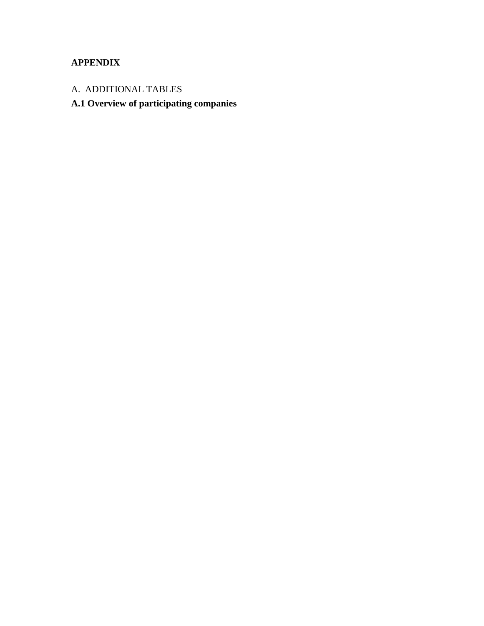## **APPENDIX**

- A. ADDITIONAL TABLES
- **A.1 Overview of participating companies**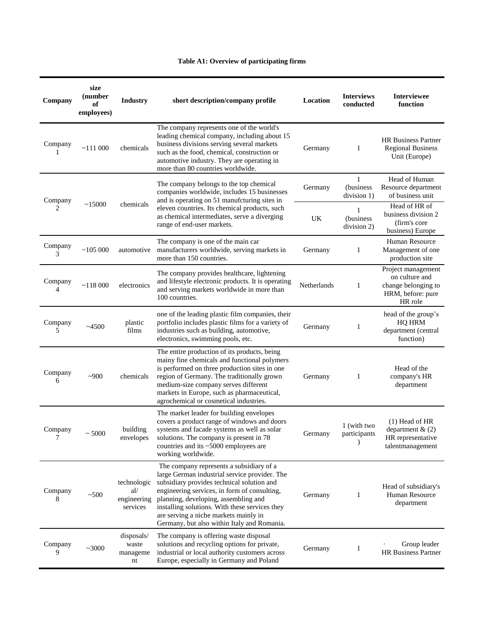## **Table A1: Overview of participating firms**

| Company      | size<br>(number<br>of<br>employees)                                                                                                               | <b>Industry</b>                               | short description/company profile<br>Location                                                                                                                                                                                                                                                                                                                             |                               | <b>Interviews</b><br>conducted                                          | <b>Interviewee</b><br>function                                                              |
|--------------|---------------------------------------------------------------------------------------------------------------------------------------------------|-----------------------------------------------|---------------------------------------------------------------------------------------------------------------------------------------------------------------------------------------------------------------------------------------------------------------------------------------------------------------------------------------------------------------------------|-------------------------------|-------------------------------------------------------------------------|---------------------------------------------------------------------------------------------|
| Company      | ~111~000                                                                                                                                          | chemicals                                     | The company represents one of the world's<br>leading chemical company, including about 15<br>business divisions serving several markets<br>Germany<br>1<br>such as the food, chemical, construction or<br>automotive industry. They are operating in<br>more than 80 countries worldwide.                                                                                 |                               | <b>HR Business Partner</b><br><b>Regional Business</b><br>Unit (Europe) |                                                                                             |
| Company      | The company belongs to the top chemical<br>Germany<br>companies worldwide, includes 15 businesses<br>and is operating on 51 manufcturing sites in |                                               |                                                                                                                                                                                                                                                                                                                                                                           | 1<br>(business<br>division 1) | Head of Human<br>Resource department<br>of business unit                |                                                                                             |
| 2            | ~15000                                                                                                                                            | chemicals                                     | eleven countries. Its chemical products, such<br>as chemical intermediates, serve a diverging<br>range of end-user markets.                                                                                                                                                                                                                                               | UK                            | (business<br>division 2)                                                | Head of HR of<br>business division 2<br>(firm's core<br>business) Europe                    |
| Company<br>3 | ~105000                                                                                                                                           | automotive                                    | The company is one of the main car<br>manufacturers worldwide, serving markets in<br>more than 150 countries.                                                                                                                                                                                                                                                             | Germany                       | 1                                                                       | Human Resource<br>Management of one<br>production site                                      |
| Company<br>4 | ~118000                                                                                                                                           | electronics                                   | The company provides healthcare, lightening<br>and lifestyle electronic products. It is operating<br>and serving markets worldwide in more than<br>100 countries.                                                                                                                                                                                                         | Netherlands                   | 1                                                                       | Project management<br>on culture and<br>change belonging to<br>HRM, before: pure<br>HR role |
| Company<br>5 | ~14500                                                                                                                                            | plastic<br>films                              | one of the leading plastic film companies, their<br>portfolio includes plastic films for a variety of<br>industries such as building, automotive,<br>electronics, swimming pools, etc.                                                                                                                                                                                    | Germany                       | 1                                                                       | head of the group's<br><b>HQ HRM</b><br>department (central<br>function)                    |
| Company<br>6 | ~1000                                                                                                                                             | chemicals                                     | The entire production of its products, being<br>mainy fine chemicals and functional polymers<br>is performed on three production sites in one<br>region of Germany. The traditionally grown<br>medium-size company serves different<br>markets in Europe, such as pharmaceutical,<br>agrochemical or cosmetical industries.                                               | Germany                       | 1                                                                       | Head of the<br>company's HR<br>department                                                   |
| Company      | ~1000                                                                                                                                             | building<br>envelopes                         | The market leader for building envelopes<br>covers a product range of windows and doors<br>systems and facade systems as well as solar<br>solutions. The company is present in 78<br>countries and its ~5000 employees are<br>working worldwide.                                                                                                                          | Germany                       | 1 (with two<br>participants                                             | $(1)$ Head of HR<br>department $& (2)$<br>HR representative<br>talentmanagement             |
| Company<br>8 | ~100                                                                                                                                              | technologic<br>al/<br>engineering<br>services | The company represents a subsidiary of a<br>large German industrial service provider. The<br>subsidiary provides technical solution and<br>engineering services, in form of consulting,<br>planning, developing, assembling and<br>installing solutions. With these services they<br>are serving a niche markets mainly in<br>Germany, but also within Italy and Romania. | Germany                       | 1                                                                       | Head of subsidiary's<br>Human Resource<br>department                                        |
| Company<br>9 | ~1000                                                                                                                                             | disposals/<br>waste<br>manageme<br>nt         | The company is offering waste disposal<br>solutions and recycling options for private,<br>industrial or local authority customers across<br>Europe, especially in Germany and Poland                                                                                                                                                                                      | Germany                       | 1                                                                       | Group leader<br><b>HR Business Partner</b>                                                  |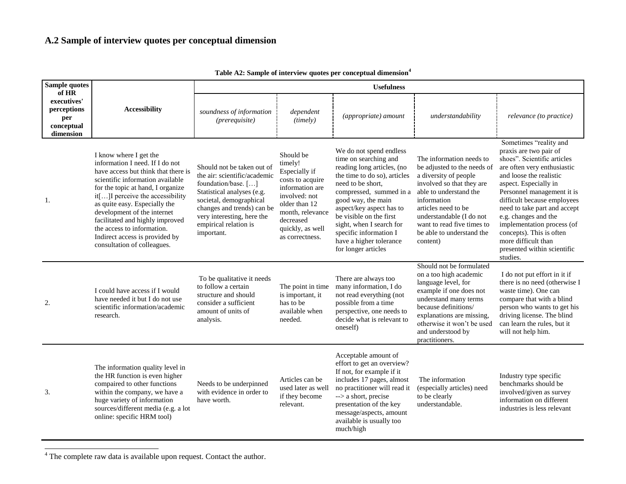## **A.2 Sample of interview quotes per conceptual dimension**

| Sample quotes<br>of HR                                       | <b>Accessibility</b>                                                                                                                                                                                                                                                                                                                                                                                             | <b>Usefulness</b>                                                                                                                                                                                                                             |                                                                                                                                                                                        |                                                                                                                                                                                                                                                                                                                                                     |                                                                                                                                                                                                                                                                                  |                                                                                                                                                                                                                                                                                                                                                                                                                     |  |
|--------------------------------------------------------------|------------------------------------------------------------------------------------------------------------------------------------------------------------------------------------------------------------------------------------------------------------------------------------------------------------------------------------------------------------------------------------------------------------------|-----------------------------------------------------------------------------------------------------------------------------------------------------------------------------------------------------------------------------------------------|----------------------------------------------------------------------------------------------------------------------------------------------------------------------------------------|-----------------------------------------------------------------------------------------------------------------------------------------------------------------------------------------------------------------------------------------------------------------------------------------------------------------------------------------------------|----------------------------------------------------------------------------------------------------------------------------------------------------------------------------------------------------------------------------------------------------------------------------------|---------------------------------------------------------------------------------------------------------------------------------------------------------------------------------------------------------------------------------------------------------------------------------------------------------------------------------------------------------------------------------------------------------------------|--|
| executives'<br>perceptions<br>per<br>conceptual<br>dimension |                                                                                                                                                                                                                                                                                                                                                                                                                  | soundness of information<br>(prerequire)                                                                                                                                                                                                      | dependent<br>(timely)                                                                                                                                                                  | (appropriate) amount                                                                                                                                                                                                                                                                                                                                | understandability                                                                                                                                                                                                                                                                | relevance (to practice)                                                                                                                                                                                                                                                                                                                                                                                             |  |
| 1.                                                           | I know where I get the<br>information I need. If I do not<br>have access but think that there is<br>scientific information available<br>for the topic at hand, I organize<br>it[] I perceive the accessibility<br>as quite easy. Especially the<br>development of the internet<br>facilitated and highly improved<br>the access to information.<br>Indirect access is provided by<br>consultation of colleagues. | Should not be taken out of<br>the air: scientific/academic<br>foundation/base. []<br>Statistical analyses (e.g.<br>societal, demographical<br>changes and trends) can be<br>very interesting, here the<br>empirical relation is<br>important. | Should be<br>timely!<br>Especially if<br>costs to acquire<br>information are<br>involved: not<br>older than 12<br>month, relevance<br>decreased<br>quickly, as well<br>as correctness. | We do not spend endless<br>time on searching and<br>reading long articles, (no<br>the time to do so), articles<br>need to be short,<br>compressed, summed in a<br>good way, the main<br>aspect/key aspect has to<br>be visible on the first<br>sight, when I search for<br>specific information I<br>have a higher tolerance<br>for longer articles | The information needs to<br>be adjusted to the needs of<br>a diversity of people<br>involved so that they are<br>able to understand the<br>information<br>articles need to be<br>understandable (I do not<br>want to read five times to<br>be able to understand the<br>content) | Sometimes "reality and<br>praxis are two pair of<br>shoes". Scientific articles<br>are often very enthusiastic<br>and loose the realistic<br>aspect. Especially in<br>Personnel management it is<br>difficult because employees<br>need to take part and accept<br>e.g. changes and the<br>implementation process (of<br>concepts). This is often<br>more difficult than<br>presented within scientific<br>studies. |  |
| 2.                                                           | I could have access if I would<br>have needed it but I do not use<br>scientific information/academic<br>research.                                                                                                                                                                                                                                                                                                | To be qualitative it needs<br>to follow a certain<br>structure and should<br>consider a sufficient<br>amount of units of<br>analysis.                                                                                                         | The point in time<br>is important, it<br>has to be<br>available when<br>needed.                                                                                                        | There are always too<br>many information, I do<br>not read everything (not<br>possible from a time<br>perspective, one needs to<br>decide what is relevant to<br>oneself)                                                                                                                                                                           | Should not be formulated<br>on a too high academic<br>language level, for<br>example if one does not<br>understand many terms<br>because definitions/<br>explanations are missing,<br>otherwise it won't be used<br>and understood by<br>practitioners.                          | I do not put effort in it if<br>there is no need (otherwise I<br>waste time). One can<br>compare that with a blind<br>person who wants to get his<br>driving license. The blind<br>can learn the rules, but it<br>will not help him.                                                                                                                                                                                |  |
| 3.                                                           | The information quality level in<br>the HR function is even higher<br>compaired to other functions<br>within the company, we have a<br>huge variety of information<br>sources/different media (e.g. a lot<br>online: specific HRM tool)                                                                                                                                                                          | Needs to be underpinned<br>with evidence in order to<br>have worth.                                                                                                                                                                           | Articles can be<br>used later as well<br>if they become<br>relevant.                                                                                                                   | Acceptable amount of<br>effort to get an overview?<br>If not, for example if it<br>includes 17 pages, almost<br>no practitioner will read it<br>--> a short, precise<br>presentation of the key<br>message/aspects, amount<br>available is usually too<br>much/high                                                                                 | The information<br>(especially articles) need<br>to be clearly<br>understandable.                                                                                                                                                                                                | Industry type specific<br>benchmarks should be<br>involved/given as survey<br>information on different<br>industries is less relevant                                                                                                                                                                                                                                                                               |  |

**Table A2: Sample of interview quotes per conceptual dimension<sup>4</sup>**

 $4$  The complete raw data is available upon request. Contact the author.

 $\overline{a}$